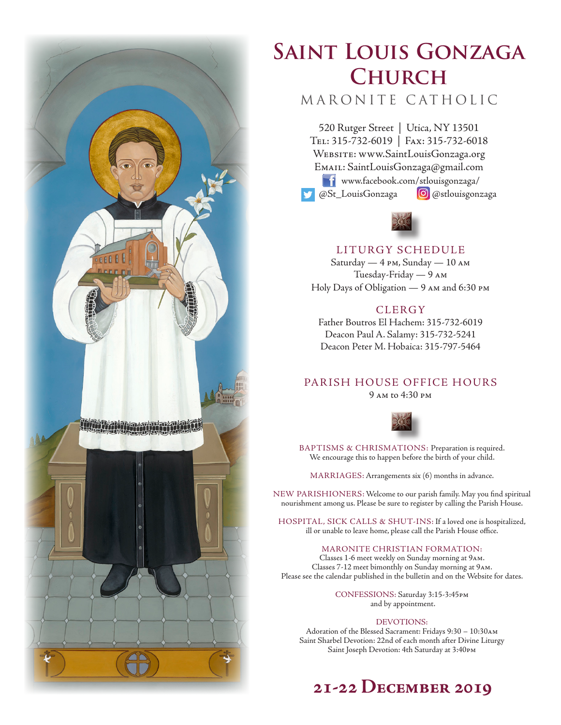

# **Saint Louis Gonzaga Church**

# MARONITE CATHOLIC

520 Rutger Street | Utica, NY 13501 Tel: 315-732-6019 | Fax: 315-732-6018 Website: www.SaintLouisGonzaga.org Email: SaintLouisGonzaga@gmail.com **T1** www.facebook.com/stlouisgonzaga/ @St\_LouisGonzaga **@**@stlouisgonzaga



# LITURGY SCHEDULE

Saturday — 4 pm, Sunday — 10 am Tuesday-Friday — 9 am Holy Days of Obligation — 9 am and 6:30 pm

# **CLERGY**

Father Boutros El Hachem: 315-732-6019 Deacon Paul A. Salamy: 315-732-5241 Deacon Peter M. Hobaica: 315-797-5464

# PARISH HOUSE OFFICE HOURS

9 am to 4:30 pm



BAPTISMS & CHRISMATIONS: Preparation is required. We encourage this to happen before the birth of your child.

MARRIAGES: Arrangements six (6) months in advance.

NEW PARISHIONERS: Welcome to our parish family. May you find spiritual nourishment among us. Please be sure to register by calling the Parish House.

HOSPITAL, SICK CALLS & SHUT-INS: If a loved one is hospitalized, ill or unable to leave home, please call the Parish House office.

#### MARONITE CHRISTIAN FORMATION:

Classes 1-6 meet weekly on Sunday morning at 9am. Classes 7-12 meet bimonthly on Sunday morning at 9am. Please see the calendar published in the bulletin and on the Website for dates.

> CONFESSIONS: Saturday 3:15-3:45pm and by appointment.

#### DEVOTIONS:

Adoration of the Blessed Sacrament: Fridays 9:30 – 10:30am Saint Sharbel Devotion: 22nd of each month after Divine Liturgy Saint Joseph Devotion: 4th Saturday at 3:40pm

# **21-22 December 2019**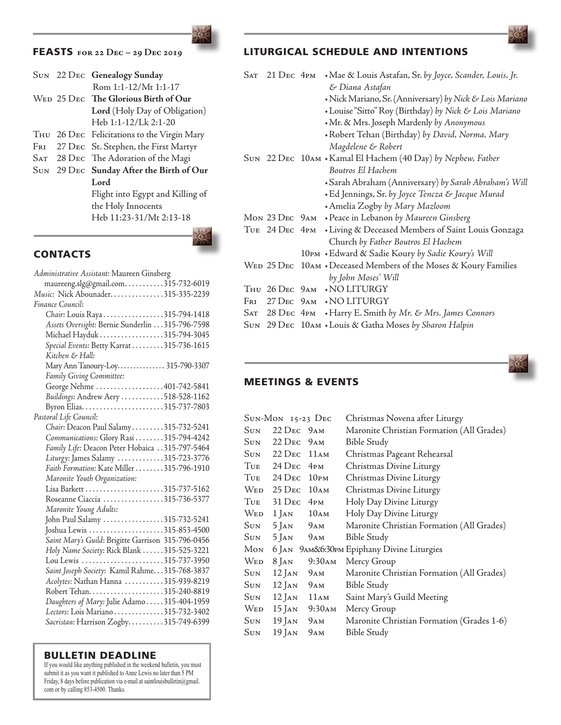# FEASTS **for 22 Dec – 29 Dec 2019**

|     | SUN 22 DEC Genealogy Sunday                 |
|-----|---------------------------------------------|
|     | Rom 1:1-12/Mt 1:1-17                        |
|     | WED 25 DEC The Glorious Birth of Our        |
|     | Lord (Holy Day of Obligation)               |
|     | Heb 1:1-12/Lk 2:1-20                        |
|     | THU 26 DEC Felicitations to the Virgin Mary |
| Fri | 27 DEC St. Stephen, the First Martyr        |
|     | SAT 28 DEC The Adoration of the Magi        |
|     | SUN 29 DEC Sunday After the Birth of Our    |
|     | Lord                                        |
|     | Flight into Egypt and Killing of            |
|     | the Holy Innocents                          |
|     | Heb 11:23-31/Mt 2:13-18                     |
|     |                                             |

**CONTACTS** 

| Administrative Assistant: Maureen Ginsberg         |
|----------------------------------------------------|
| maureeng.slg@gmail.com315-732-6019                 |
| Music: Nick Abounader315-335-2239                  |
| Finance Council:                                   |
| Chair: Louis Raya315-794-1418                      |
| Assets Oversight: Bernie Sunderlin 315-796-7598    |
| Michael Hayduk 315-794-3045                        |
| Special Events: Betty Karrat 315-736-1615          |
| Kitchen & Hall:                                    |
| Mary Ann Tanoury-Loy 315-790-3307                  |
| Family Giving Committee:                           |
| George Nehme 401-742-5841                          |
| Buildings: Andrew Aery 518-528-1162                |
| Byron Elias315-737-7803                            |
| Pastoral Life Council:                             |
| Chair: Deacon Paul Salamy315-732-5241              |
| Communications: Glory Rasi 315-794-4242            |
| Family Life: Deacon Peter Hobaica 315-797-5464     |
| Liturgy: James Salamy 315-723-3776                 |
| Faith Formation: Kate Miller 315-796-1910          |
| Maronite Youth Organization:                       |
|                                                    |
| Roseanne Ciaccia 315-736-5377                      |
| Maronite Young Adults:                             |
| John Paul Salamy 315-732-5241                      |
| Joshua Lewis 315-853-4500                          |
| Saint Mary's Guild: Brigitte Garrison 315-796-0456 |
| Holy Name Society: Rick Blank 315-525-3221         |
| Lou Lewis 315-737-3950                             |
| Saint Joseph Society: Kamil Rahme. 315-768-3837    |
| Acolytes: Nathan Hanna 315-939-8219                |
|                                                    |
|                                                    |
| Daughters of Mary: Julie Adamo 315-404-1959        |
| Lectors: Lois Mariano315-732-3402                  |
| Sacristan: Harrison Zogby315-749-6399              |
|                                                    |

#### BULLETIN DEADLINE

If you would like anything published in the weekend bulletin, you must submit it as you want it published to Anne Lewis no later than 5 PM Friday, 8 days before publication via e-mail at saintlouisbulletin $(a)$ gmail. com or by calling 853-4500. Thanks.

# LITURGICAL SCHEDULE AND INTENTIONS

| Sat | $21$ Dec $4$ PM |  | + Mae & Louis Astafan, Sr. by Joyce, Scander, Louis, Jr.                                   |  |  |
|-----|-----------------|--|--------------------------------------------------------------------------------------------|--|--|
|     |                 |  | & Diana Astafan                                                                            |  |  |
|     |                 |  | • Nick Mariano, Sr. (Anniversary) by Nick & Lois Mariano                                   |  |  |
|     |                 |  | + Louise "Sitto" Roy (Birthday) by Nick & Lois Mariano                                     |  |  |
|     |                 |  | +Mr. & Mrs. Joseph Mardenly by Anonymous<br>+Robert Tehan (Birthday) by David, Norma, Mary |  |  |
|     |                 |  |                                                                                            |  |  |
|     |                 |  | Magdelene & Robert                                                                         |  |  |
|     |                 |  | SUN 22 DEC 10AM • Kamal El Hachem (40 Day) by Nephew, Father                               |  |  |
|     |                 |  | Boutros El Hachem                                                                          |  |  |
|     |                 |  | + Sarah Abraham (Anniversary) by Sarah Abraham's Will                                      |  |  |
|     |                 |  | +Ed Jennings, Sr. by Joyce Tencza & Jacque Murad                                           |  |  |
|     |                 |  | + Amelia Zogby by Mary Mazloom                                                             |  |  |
|     |                 |  | Mon 23 DEC 9AM + Peace in Lebanon by Maureen Ginsberg                                      |  |  |
|     |                 |  | TUE 24 DEC 4PM + Living & Deceased Members of Saint Louis Gonzaga                          |  |  |
|     |                 |  | Church by Father Boutros El Hachem                                                         |  |  |
|     |                 |  | 10PM +Edward & Sadie Koury by Sadie Koury's Will                                           |  |  |
|     |                 |  | WED 25 DEC 10AM + Deceased Members of the Moses & Koury Families                           |  |  |
|     |                 |  | by John Moses' Will                                                                        |  |  |
|     |                 |  | THU 26 DEC 9AM + NO LITURGY                                                                |  |  |
| Fri |                 |  | 27 DEC 9AM + NO LITURGY                                                                    |  |  |
|     |                 |  | SAT 28 DEC 4PM + Harry E. Smith by Mr. & Mrs. James Connors                                |  |  |
|     |                 |  | SUN 29 DEC 10AM + Louis & Gatha Moses by Sharon Halpin                                     |  |  |
|     |                 |  |                                                                                            |  |  |



# MEETINGS & EVENTS

|     | SUN-MON 15-23 DEC                       |     | Christmas Novena after Liturgy             |
|-----|-----------------------------------------|-----|--------------------------------------------|
|     | Sun 22 Dec 9am                          |     | Maronite Christian Formation (All Grades)  |
|     | Sun 22 Dec 9 am                         |     | <b>Bible Study</b>                         |
|     | Sun 22 Dec 11am                         |     | Christmas Pageant Rehearsal                |
|     | Tue 24 Dec 4pm                          |     | Christmas Divine Liturgy                   |
| Tue | $24$ D <sub>EC</sub> $10$ <sub>PM</sub> |     | Christmas Divine Liturgy                   |
| Wed | 25 DEC 10AM                             |     | Christmas Divine Liturgy                   |
| Tue | $31$ D <sub>EC</sub> $4$ <sub>PM</sub>  |     | Holy Day Divine Liturgy                    |
| Wed | $1$ JAN $10$ AM                         |     | Holy Day Divine Liturgy                    |
| Sun | $5$ Jan $9$ am                          |     | Maronite Christian Formation (All Grades)  |
| Sun | $5$ JAN $9$ AM                          |     | <b>Bible Study</b>                         |
| Мом |                                         |     | 6 JAN 9AM&6:30PM Epiphany Divine Liturgies |
| Wed | 8 Jan 9:30 am                           |     | Mercy Group                                |
| Sun | $12$ Jan $9$ am                         |     | Maronite Christian Formation (All Grades)  |
| Sun | $12$ Jan $9$ am                         |     | <b>Bible Study</b>                         |
| Sun | $12$ Jan $11$ AM                        |     | Saint Mary's Guild Meeting                 |
| Wed | 15 Jan 9:30 am                          |     | Mercy Group                                |
| Sun | $19$ Jan $9$ am                         |     | Maronite Christian Formation (Grades 1-6)  |
| Sun | $19$ Jan                                | 9AM | Bible Study                                |